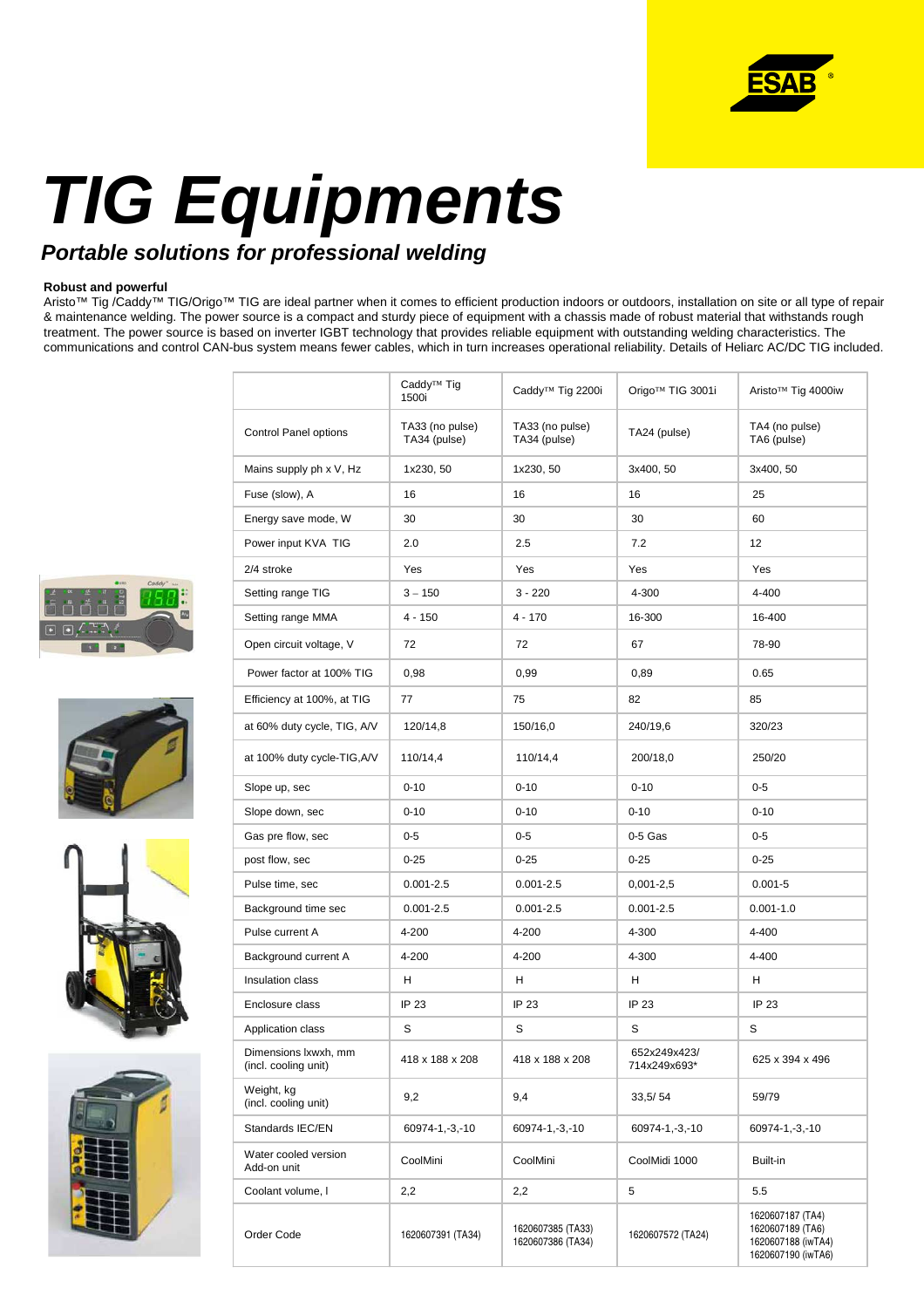

# **TIG Equipments**

## **Portable solutions for professional welding**

## **Robust and powerful**

Aristo™ Tig /Caddy™ TIG/Origo™ TIG are ideal partner when it comes to efficient production indoors or outdoors, installation on site or all type of repair & maintenance welding. The power source is a compact and sturdy piece of equipment with a chassis made of robust material that withstands rough treatment. The power source is based on inverter IGBT technology that provides reliable equipment with outstanding welding characteristics. The communications and control CAN-bus system means fewer cables, which in turn increases operational reliability. Details of Heliarc AC/DC TIG included.









|                                              | Caddy <sup>™</sup> Tig<br>1500i | Caddy <sup>™</sup> Tig 2200i           | Origo™ TIG 3001i             | Aristo™ Tig 4000iw                                                               |
|----------------------------------------------|---------------------------------|----------------------------------------|------------------------------|----------------------------------------------------------------------------------|
| Control Panel options                        | TA33 (no pulse)<br>TA34 (pulse) | TA33 (no pulse)<br>TA34 (pulse)        | TA24 (pulse)                 | TA4 (no pulse)<br>TA6 (pulse)                                                    |
| Mains supply ph x V, Hz                      | 1x230, 50                       | 1x230, 50                              | 3x400, 50                    | 3x400, 50                                                                        |
| Fuse (slow), A                               | 16                              | 16                                     | 16                           | 25                                                                               |
| Energy save mode, W                          | 30                              | 30                                     | 30                           | 60                                                                               |
| Power input KVA TIG                          | 2.0                             | 2.5                                    | 7.2                          | 12                                                                               |
| 2/4 stroke                                   | Yes                             | Yes                                    | Yes                          | Yes                                                                              |
| Setting range TIG                            | $3 - 150$                       | $3 - 220$                              | 4-300                        | 4-400                                                                            |
| Setting range MMA                            | $4 - 150$                       | $4 - 170$                              | 16-300                       | 16-400                                                                           |
| Open circuit voltage, V                      | 72                              | 72                                     | 67                           | 78-90                                                                            |
| Power factor at 100% TIG                     | 0,98                            | 0,99                                   | 0,89                         | 0.65                                                                             |
| Efficiency at 100%, at TIG                   | 77                              | 75                                     | 82                           | 85                                                                               |
| at 60% duty cycle, TIG, A/V                  | 120/14,8                        | 150/16,0                               | 240/19,6                     | 320/23                                                                           |
| at 100% duty cycle-TIG, A/V                  | 110/14,4                        | 110/14,4                               | 200/18,0                     | 250/20                                                                           |
| Slope up, sec                                | $0 - 10$                        | $0 - 10$                               | $0 - 10$                     | $0 - 5$                                                                          |
| Slope down, sec                              | $0 - 10$                        | $0 - 10$                               | $0 - 10$                     | $0 - 10$                                                                         |
| Gas pre flow, sec                            | $0 - 5$                         | $0-5$                                  | $0-5$ Gas                    | $0 - 5$                                                                          |
| post flow, sec                               | $0 - 25$                        | $0 - 25$                               | $0 - 25$                     | $0 - 25$                                                                         |
| Pulse time, sec                              | $0.001 - 2.5$                   | $0.001 - 2.5$                          | $0,001 - 2,5$                | $0.001 - 5$                                                                      |
| Background time sec                          | $0.001 - 2.5$                   | $0.001 - 2.5$                          | $0.001 - 2.5$                | $0.001 - 1.0$                                                                    |
| Pulse current A                              | 4-200                           | 4-200                                  | 4-300                        | 4-400                                                                            |
| Background current A                         | 4-200                           | 4-200                                  | 4-300                        | 4-400                                                                            |
| Insulation class                             | н                               | н                                      | н                            | н                                                                                |
| Enclosure class                              | IP 23                           | IP 23                                  | IP 23                        | IP 23                                                                            |
| Application class                            | S                               | S                                      | S                            | S                                                                                |
| Dimensions Ixwxh, mm<br>(incl. cooling unit) | 418 x 188 x 208                 | 418 x 188 x 208                        | 652x249x423/<br>714x249x693* | 625 x 394 x 496                                                                  |
| Weight, kg<br>(incl. cooling unit)           | 9,2                             | 9,4                                    | 33,5/54                      | 59/79                                                                            |
| Standards IEC/EN                             | 60974-1,-3,-10                  | 60974-1,-3,-10                         | 60974-1,-3,-10               | 60974-1,-3,-10                                                                   |
| Water cooled version<br>Add-on unit          | CoolMini                        | CoolMini                               | CoolMidi 1000                | Built-in                                                                         |
| Coolant volume, I                            | 2,2                             | 2,2                                    | 5                            | 5.5                                                                              |
| Order Code                                   | 1620607391 (TA34)               | 1620607385 (TA33)<br>1620607386 (TA34) | 1620607572 (TA24)            | 1620607187 (TA4)<br>1620607189 (TA6)<br>1620607188 (iwTA4)<br>1620607190 (iwTA6) |
|                                              |                                 |                                        |                              |                                                                                  |